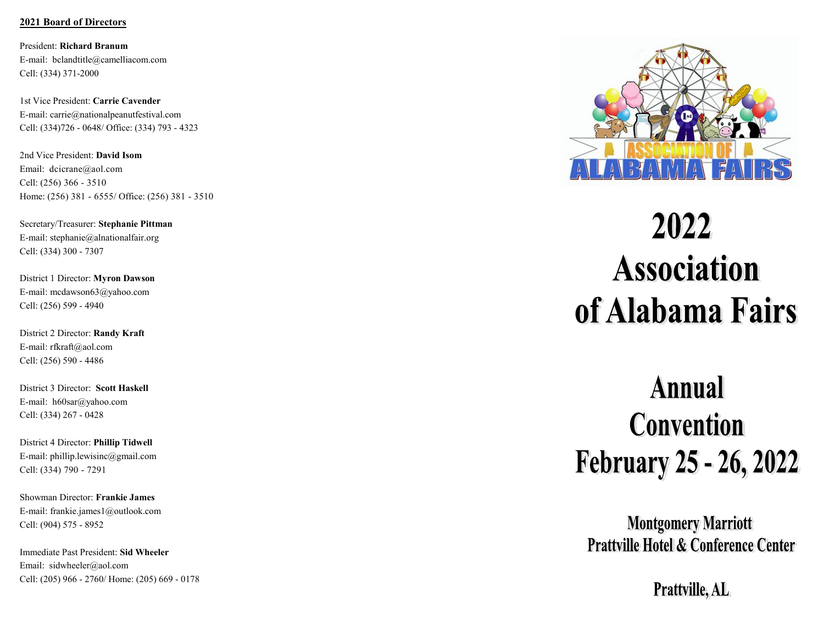# **2021 Board of Directors**

President: **Richard Branum** E-mail: bclandtitle@camelliacom.com Cell: (334) 371-2000

1st Vice President: **Carrie Cavender** E-mail: carrie@nationalpeanutfestival.com Cell: (334)726 - 0648/ Office: (334) 793 - 4323

2nd Vice President: **David Isom** Email: [dcicrane@aol.com](mailto:dcicrane@aol.com) Cell: ([256\) 366](https://hangouts.google.com/?action=chat&pn=%2B12563663510&hl=en&authuser=1) - 3510 Home: ([256\) 381](https://hangouts.google.com/?action=chat&pn=%2B12563816555&hl=en&authuser=1) - 6555/ Office: ([256\) 381](https://hangouts.google.com/?action=chat&pn=%2B12563813510&hl=en&authuser=1) - 3510

Secretary/Treasurer: **Stephanie Pittman** E-mail: stephanie@alnationalfair.org Cell: (334) 300 - 7307

District 1 Director: **Myron Dawson** E-mail: mcdawson63@yahoo.com Cell: (256) 599 - 4940

District 2 Director: **Randy Kraft** E-mail: rfkraft@aol.com Cell: (256) 590 - 4486

District 3 Director: **Scott Haskell** E-mail: h60sar@yahoo.com Cell: (334) 267 - 0428

District 4 Director: **Phillip Tidwell** E-mail: phillip.lewisinc@gmail.com Cell: ([334\) 790](https://hangouts.google.com/?action=chat&pn=%2B13347907291&hl=en&authuser=1) - 7291

Showman Director: **Frankie James** E-mail: frankie.james1@outlook.com Cell: (904) 575 - 8952

Immediate Past President: **Sid Wheeler** Email: sidwheeler@aol.com Cell: (205) 966 - 2760/ Home: (205) 669 - 0178



# 2022 **Association** of Alabama Fairs

# **Annual Convention February 25 - 26, 2022**

**Montgomery Marriott Prattville Hotel & Conference Center** 

Prattville, AL